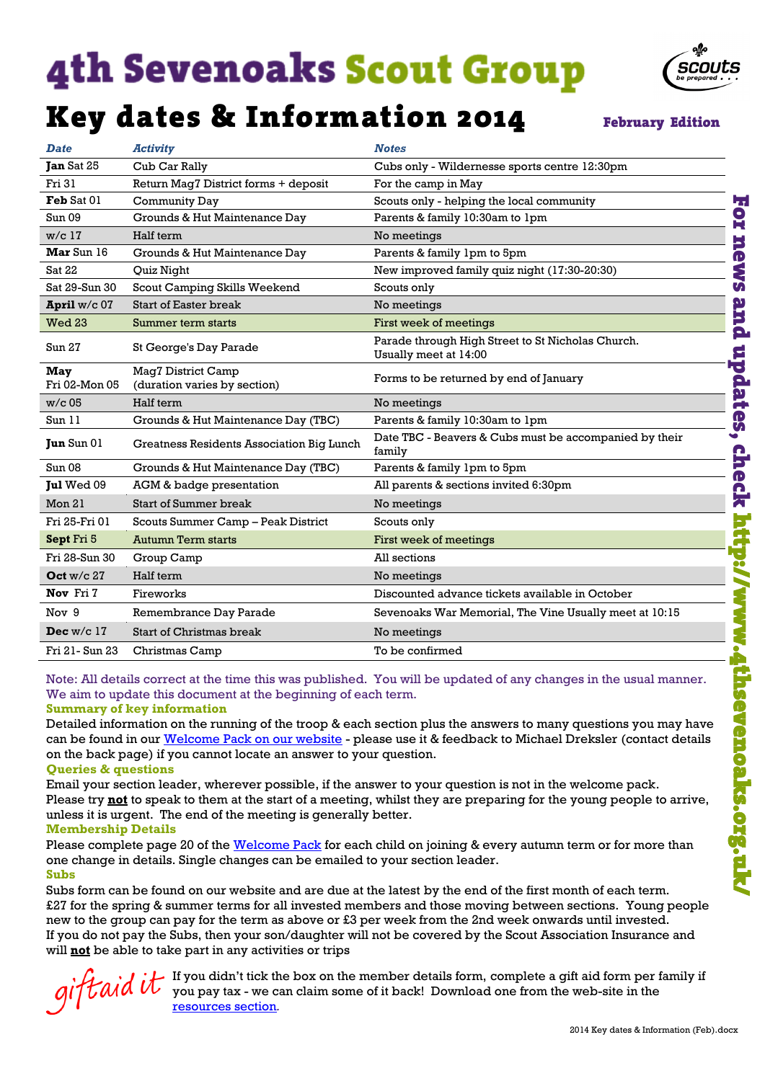# **4th Sevenoaks Scout Group**

### Key dates & Information 2014

**February Edition** 

scouts

| <b>Date</b>                                                                                                                                                                                                                                                                                                                                                                                                                                                                                                                              | <b>Activity</b>                                                                                             | <b>Notes</b>                                                                                               |  |  |  |
|------------------------------------------------------------------------------------------------------------------------------------------------------------------------------------------------------------------------------------------------------------------------------------------------------------------------------------------------------------------------------------------------------------------------------------------------------------------------------------------------------------------------------------------|-------------------------------------------------------------------------------------------------------------|------------------------------------------------------------------------------------------------------------|--|--|--|
| Tan Sat 25                                                                                                                                                                                                                                                                                                                                                                                                                                                                                                                               | Cub Car Rally                                                                                               | Cubs only - Wildernesse sports centre 12:30pm                                                              |  |  |  |
| Fri 31                                                                                                                                                                                                                                                                                                                                                                                                                                                                                                                                   | Return Mag7 District forms + deposit                                                                        | For the camp in May                                                                                        |  |  |  |
| Feb Sat 01                                                                                                                                                                                                                                                                                                                                                                                                                                                                                                                               | Community Day                                                                                               | Scouts only - helping the local community<br>47                                                            |  |  |  |
| Sun 09                                                                                                                                                                                                                                                                                                                                                                                                                                                                                                                                   | Grounds & Hut Maintenance Day                                                                               | $\mathbf{S}$<br>Parents & family 10:30am to 1pm                                                            |  |  |  |
| $w/c$ 17                                                                                                                                                                                                                                                                                                                                                                                                                                                                                                                                 | Half term                                                                                                   | No meetings                                                                                                |  |  |  |
| <b>Mar</b> Sun 16                                                                                                                                                                                                                                                                                                                                                                                                                                                                                                                        | Grounds & Hut Maintenance Day                                                                               | He<br>Parents & family 1pm to 5pm                                                                          |  |  |  |
| <b>Sat 22</b>                                                                                                                                                                                                                                                                                                                                                                                                                                                                                                                            | Quiz Night                                                                                                  | <b>SAS</b><br>New improved family quiz night (17:30-20:30)                                                 |  |  |  |
| Sat 29-Sun 30                                                                                                                                                                                                                                                                                                                                                                                                                                                                                                                            | Scout Camping Skills Weekend                                                                                | Scouts only                                                                                                |  |  |  |
| April w/c 07                                                                                                                                                                                                                                                                                                                                                                                                                                                                                                                             | <b>Start of Easter break</b>                                                                                | pure<br>No meetings                                                                                        |  |  |  |
| Wed 23                                                                                                                                                                                                                                                                                                                                                                                                                                                                                                                                   | Summer term starts                                                                                          | First week of meetings                                                                                     |  |  |  |
| Sun 27                                                                                                                                                                                                                                                                                                                                                                                                                                                                                                                                   | St George's Day Parade                                                                                      | Parade through High Street to St Nicholas Church.<br>Usually meet at 14:00                                 |  |  |  |
| <b>May</b><br>Fri 02-Mon 05                                                                                                                                                                                                                                                                                                                                                                                                                                                                                                              | Mag7 District Camp<br>(duration varies by section)                                                          | updates<br>Forms to be returned by end of January                                                          |  |  |  |
| $w/c$ 05                                                                                                                                                                                                                                                                                                                                                                                                                                                                                                                                 | Half term                                                                                                   | No meetings                                                                                                |  |  |  |
| Sun 11                                                                                                                                                                                                                                                                                                                                                                                                                                                                                                                                   | Grounds & Hut Maintenance Day (TBC)                                                                         | Parents & family 10:30am to 1pm                                                                            |  |  |  |
| <b>Jun</b> Sun 01                                                                                                                                                                                                                                                                                                                                                                                                                                                                                                                        | Greatness Residents Association Big Lunch                                                                   | Date TBC - Beavers & Cubs must be accompanied by their<br>$\bullet$<br>family                              |  |  |  |
| Sun <sub>08</sub>                                                                                                                                                                                                                                                                                                                                                                                                                                                                                                                        | Grounds & Hut Maintenance Day (TBC)                                                                         | Parents & family 1pm to 5pm                                                                                |  |  |  |
| Jul Wed 09                                                                                                                                                                                                                                                                                                                                                                                                                                                                                                                               | AGM & badge presentation                                                                                    | <b>chec</b><br>All parents & sections invited 6:30pm                                                       |  |  |  |
| Mon 21                                                                                                                                                                                                                                                                                                                                                                                                                                                                                                                                   | <b>Start of Summer break</b>                                                                                | No meetings                                                                                                |  |  |  |
| Fri 25-Fri 01                                                                                                                                                                                                                                                                                                                                                                                                                                                                                                                            | Scouts Summer Camp - Peak District                                                                          | Scouts only                                                                                                |  |  |  |
| Sept Fri 5                                                                                                                                                                                                                                                                                                                                                                                                                                                                                                                               | Autumn Term starts                                                                                          | First week of meetings                                                                                     |  |  |  |
| Fri 28-Sun 30                                                                                                                                                                                                                                                                                                                                                                                                                                                                                                                            | Group Camp                                                                                                  | All sections<br>Ю                                                                                          |  |  |  |
| Oct $w/c$ 27                                                                                                                                                                                                                                                                                                                                                                                                                                                                                                                             | Half term                                                                                                   | No meetings                                                                                                |  |  |  |
| Nov Fri 7                                                                                                                                                                                                                                                                                                                                                                                                                                                                                                                                | Fireworks                                                                                                   | Discounted advance tickets available in October                                                            |  |  |  |
| Nov 9                                                                                                                                                                                                                                                                                                                                                                                                                                                                                                                                    | Remembrance Day Parade                                                                                      | Sevenoaks War Memorial, The Vine Usually meet at 10:15                                                     |  |  |  |
| Dec $w/c$ 17                                                                                                                                                                                                                                                                                                                                                                                                                                                                                                                             | Start of Christmas break                                                                                    | No meetings                                                                                                |  |  |  |
| Fri 21- Sun 23                                                                                                                                                                                                                                                                                                                                                                                                                                                                                                                           | Christmas Camp                                                                                              | To be confirmed                                                                                            |  |  |  |
| Note: All details correct at the time this was published. You will be updated of any changes in the usual manner.<br>We aim to update this document at the beginning of each term.<br>η<br><b>Summary of key information</b><br>Detailed information on the running of the troop & each section plus the answers to many questions you may have<br>can be found in our Welcome Pack on our website - please use it & feedback to Michael Dreksler (contact details<br>on the back page) if you cannot locate an answer to your question. |                                                                                                             |                                                                                                            |  |  |  |
| <b>Queries &amp; questions</b>                                                                                                                                                                                                                                                                                                                                                                                                                                                                                                           |                                                                                                             |                                                                                                            |  |  |  |
| enoaks.org.uk<br>Email your section leader, wherever possible, if the answer to your question is not in the welcome pack.<br>Please try not to speak to them at the start of a meeting, whilst they are preparing for the young people to arrive,<br>unless it is urgent. The end of the meeting is generally better.<br><b>Membership Details</b>                                                                                                                                                                                       |                                                                                                             |                                                                                                            |  |  |  |
| <b>Subs</b>                                                                                                                                                                                                                                                                                                                                                                                                                                                                                                                              | one change in details. Single changes can be emailed to your section leader.                                | Please complete page 20 of the Welcome Pack for each child on joining & every autumn term or for more than |  |  |  |
|                                                                                                                                                                                                                                                                                                                                                                                                                                                                                                                                          | Subs form can be found on our website and are due at the latest by the end of the first month of each term. |                                                                                                            |  |  |  |

#### **Summary of key information**

Subs form can be found on our website and are due at the latest by the end of the first month of each term. £27 for the spring & summer terms for all invested members and those moving between sections. Young people new to the group can pay for the term as above or £3 per week from the 2nd week onwards until invested. If you do not pay the Subs, then your son/daughter will not be covered by the Scout Association Insurance and will **not** be able to take part in any activities or trips

giftaid it

If you didn't tick the box on the member details form, complete a gift aid form per family if you pay tax - we can claim some of it back! Download one from the web-site in the [resources section](http://www.4thsevenoaks.org.uk/resources/)*.*